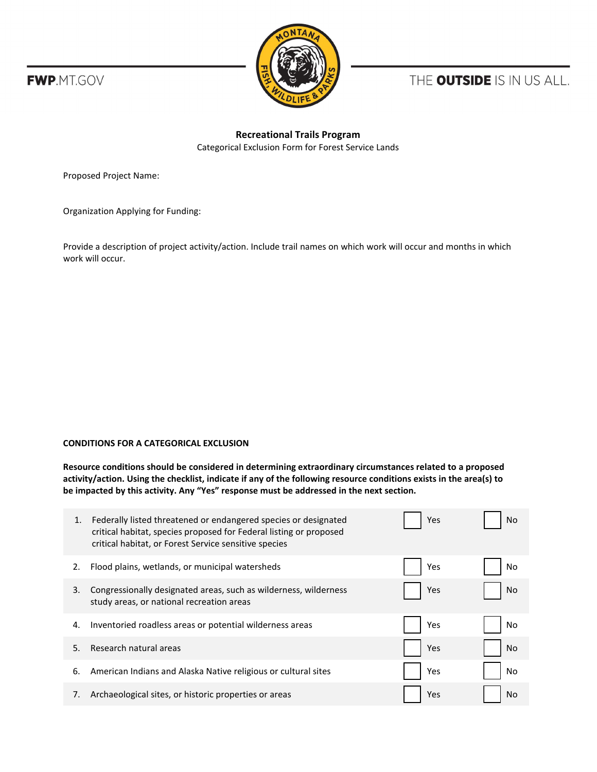



THE **OUTSIDE** IS IN US ALL.

## **Recreational Trails Program**  Categorical Exclusion Form for Forest Service Lands

Proposed Project Name:

Organization Applying for Funding:

Provide a description of project activity/action. Include trail names on which work will occur and months in which work will occur.

## **CONDITIONS FOR A CATEGORICAL EXCLUSION**

**Resource conditions should be considered in determining extraordinary circumstances related to a proposed activity/action. Using the checklist, indicate if any of the following resource conditions exists in the area(s) to be impacted by this activity. Any "Yes" response must be addressed in the next section.** 

| 1. | Federally listed threatened or endangered species or designated<br>critical habitat, species proposed for Federal listing or proposed<br>critical habitat, or Forest Service sensitive species | Yes | No |
|----|------------------------------------------------------------------------------------------------------------------------------------------------------------------------------------------------|-----|----|
| 2. | Flood plains, wetlands, or municipal watersheds                                                                                                                                                | Yes | No |
| 3. | Congressionally designated areas, such as wilderness, wilderness<br>study areas, or national recreation areas                                                                                  | Yes | No |
| 4. | Inventoried roadless areas or potential wilderness areas                                                                                                                                       | Yes | No |
| 5. | Research natural areas                                                                                                                                                                         | Yes | No |
| 6. | American Indians and Alaska Native religious or cultural sites                                                                                                                                 | Yes | No |
| 7. | Archaeological sites, or historic properties or areas                                                                                                                                          | Yes | No |